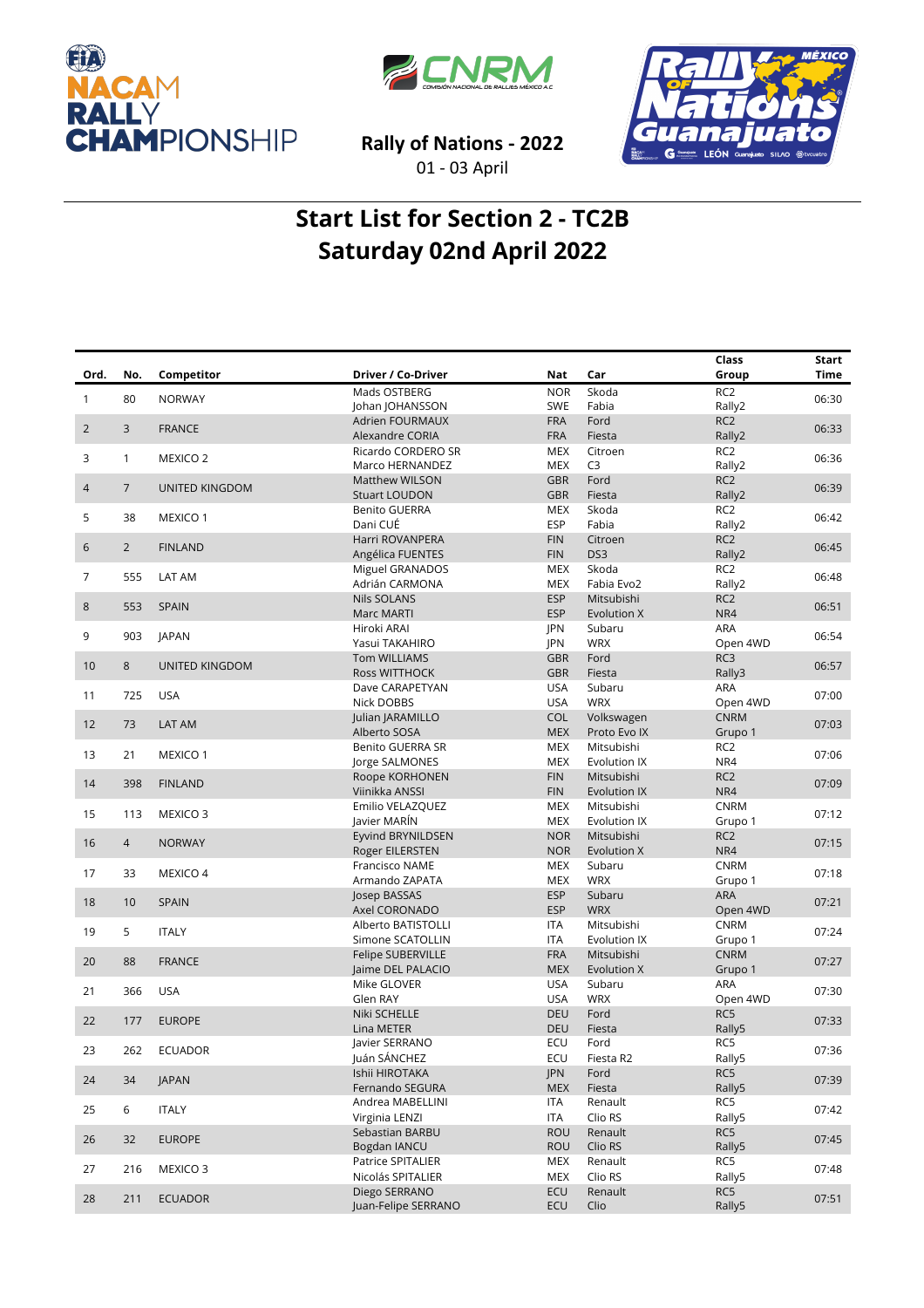





**Rally of Nations - 2022** 01 - 03 April

## **Start List for Section 2 - TC2B Saturday 02nd April 2022**

|                |                |                       |                               |                          |                      | Class                     | Start       |
|----------------|----------------|-----------------------|-------------------------------|--------------------------|----------------------|---------------------------|-------------|
| Ord.           | No.            | Competitor            | Driver / Co-Driver            | Nat                      | Car                  | Group                     | <b>Time</b> |
| $\mathbf{1}$   | 80             | <b>NORWAY</b>         | Mads OSTBERG                  | <b>NOR</b>               | Skoda                | RC <sub>2</sub>           | 06:30       |
|                |                |                       | Johan JOHANSSON               | <b>SWE</b>               | Fabia                | Rally2                    |             |
| $\overline{2}$ | 3              | <b>FRANCE</b>         | <b>Adrien FOURMAUX</b>        | <b>FRA</b>               | Ford                 | RC <sub>2</sub>           | 06:33       |
|                |                |                       | Alexandre CORIA               | <b>FRA</b>               | Fiesta               | Rally2                    |             |
| 3              | $\mathbf{1}$   | MEXICO <sub>2</sub>   | Ricardo CORDERO SR            | <b>MEX</b>               | Citroen              | RC <sub>2</sub>           | 06:36       |
|                |                |                       | Marco HERNANDEZ               | <b>MEX</b>               | C <sub>3</sub>       | Rally2                    |             |
| $\overline{4}$ | $\overline{7}$ | <b>UNITED KINGDOM</b> | <b>Matthew WILSON</b>         | <b>GBR</b>               | Ford                 | RC <sub>2</sub>           | 06:39       |
|                |                |                       | <b>Stuart LOUDON</b>          | <b>GBR</b>               | Fiesta               | Rally2                    |             |
| 5              | 38             | MEXICO 1              | Benito GUERRA<br>Dani CUÉ     | <b>MEX</b><br><b>ESP</b> | Skoda                | RC <sub>2</sub>           | 06:42       |
|                |                |                       | Harri ROVANPERA               | <b>FIN</b>               | Fabia<br>Citroen     | Rally2<br>RC <sub>2</sub> |             |
| 6              | $\overline{2}$ | <b>FINLAND</b>        | Angélica FUENTES              | <b>FIN</b>               | DS3                  | Rally2                    | 06:45       |
|                |                |                       | Miguel GRANADOS               | <b>MEX</b>               | Skoda                | RC <sub>2</sub>           |             |
| 7              | 555            | LAT AM                | Adrián CARMONA                | <b>MEX</b>               | Fabia Evo2           | Rally2                    | 06:48       |
|                |                |                       | <b>Nils SOLANS</b>            | <b>ESP</b>               | Mitsubishi           | RC <sub>2</sub>           |             |
| 8              | 553            | <b>SPAIN</b>          | Marc MARTI                    | <b>ESP</b>               | Evolution X          | NR4                       | 06:51       |
|                |                |                       | Hiroki ARAI                   | JPN                      | Subaru               | ARA                       |             |
| 9              | 903            | <b>JAPAN</b>          | Yasui TAKAHIRO                | <b>JPN</b>               | <b>WRX</b>           | Open 4WD                  | 06:54       |
|                |                |                       | Tom WILLIAMS                  | <b>GBR</b>               | Ford                 | RC3                       |             |
| 10             | 8              | <b>UNITED KINGDOM</b> | <b>Ross WITTHOCK</b>          | <b>GBR</b>               | Fiesta               | Rally3                    | 06:57       |
|                |                |                       | Dave CARAPETYAN               | <b>USA</b>               | Subaru               | ARA                       |             |
| 11             | 725            | <b>USA</b>            | Nick DOBBS                    | <b>USA</b>               | <b>WRX</b>           | Open 4WD                  | 07:00       |
| 12             | 73             | LAT AM                | Julian JARAMILLO              | <b>COL</b>               | Volkswagen           | <b>CNRM</b>               | 07:03       |
|                |                |                       | Alberto SOSA                  | <b>MEX</b>               | Proto Evo IX         | Grupo 1                   |             |
| 13             | 21             | MEXICO 1              | <b>Benito GUERRA SR</b>       | <b>MEX</b>               | Mitsubishi           | RC <sub>2</sub>           | 07:06       |
|                |                |                       | Jorge SALMONES                | <b>MEX</b>               | Evolution IX         | NR4                       |             |
| 14             | 398            | <b>FINLAND</b>        | Roope KORHONEN                | <b>FIN</b>               | Mitsubishi           | RC <sub>2</sub>           | 07:09       |
|                |                |                       | Viinikka ANSSI                | <b>FIN</b>               | Evolution IX         | NR4                       |             |
| 15             | 113            | MEXICO <sub>3</sub>   | Emilio VELAZQUEZ              | MEX                      | Mitsubishi           | <b>CNRM</b>               | 07:12       |
|                |                |                       | Javier MARÍN                  | <b>MEX</b>               | Evolution IX         | Grupo 1                   |             |
| 16             | $\overline{4}$ | <b>NORWAY</b>         | Eyvind BRYNILDSEN             | <b>NOR</b>               | Mitsubishi           | RC <sub>2</sub>           | 07:15       |
|                |                |                       | Roger EILERSTEN               | <b>NOR</b>               | Evolution X          | NR4                       |             |
| 17             | 33             | MEXICO 4              | Francisco NAME                | <b>MEX</b>               | Subaru<br><b>WRX</b> | <b>CNRM</b>               | 07:18       |
|                |                |                       | Armando ZAPATA                | <b>MEX</b><br><b>ESP</b> | Subaru               | Grupo 1<br>ARA            |             |
| 18             | 10             | <b>SPAIN</b>          | Josep BASSAS<br>Axel CORONADO | <b>ESP</b>               | <b>WRX</b>           | Open 4WD                  | 07:21       |
|                |                |                       | Alberto BATISTOLLI            | <b>ITA</b>               | Mitsubishi           | <b>CNRM</b>               |             |
| 19             | 5              | <b>ITALY</b>          | Simone SCATOLLIN              | <b>ITA</b>               | Evolution IX         | Grupo 1                   | 07:24       |
|                |                |                       | Felipe SUBERVILLE             | <b>FRA</b>               | Mitsubishi           | <b>CNRM</b>               |             |
| 20             | 88             | <b>FRANCE</b>         | Jaime DEL PALACIO             | <b>MEX</b>               | Evolution X          | Grupo 1                   | 07:27       |
|                |                |                       | Mike GLOVER                   | <b>USA</b>               | Subaru               | ARA                       |             |
| 21             | 366            | <b>USA</b>            | Glen RAY                      | <b>USA</b>               | <b>WRX</b>           | Open 4WD                  | 07:30       |
|                |                |                       | Niki SCHELLE                  | <b>DEU</b>               | Ford                 | RC5                       |             |
| 22             | 177            | <b>EUROPE</b>         | Lina METER                    | <b>DEU</b>               | Fiesta               | Rally5                    | 07:33       |
|                |                |                       | Javier SERRANO                | ECU                      | Ford                 | RC5                       |             |
| 23             | 262            | ECUADOR               | Juán SÁNCHEZ                  | ECU                      | Fiesta R2            | Rally5                    | 07:36       |
| 24             | 34             | JAPAN                 | Ishii HIROTAKA                | <b>JPN</b>               | Ford                 | RC5                       | 07:39       |
|                |                |                       | Fernando SEGURA               | <b>MEX</b>               | Fiesta               | Rally5                    |             |
| 25             | 6              | <b>ITALY</b>          | Andrea MABELLINI              | ITA                      | Renault              | RC5                       | 07:42       |
|                |                |                       | Virginia LENZI                | ITA                      | Clio RS              | Rally5                    |             |
| 26             | 32             | <b>EUROPE</b>         | Sebastian BARBU               | <b>ROU</b>               | Renault              | RC5                       | 07:45       |
|                |                |                       | Bogdan IANCU                  | <b>ROU</b>               | Clio RS              | Rally5                    |             |
| 27             | 216            | MEXICO <sub>3</sub>   | Patrice SPITALIER             | MEX                      | Renault              | RC5                       | 07:48       |
|                |                |                       | Nicolás SPITALIER             | MEX                      | Clio RS              | Rally5                    |             |
| 28             | 211            | <b>ECUADOR</b>        | Diego SERRANO                 | ECU                      | Renault              | RC5                       | 07:51       |
|                |                |                       | Juan-Felipe SERRANO           | <b>ECU</b>               | Clio                 | Rally5                    |             |